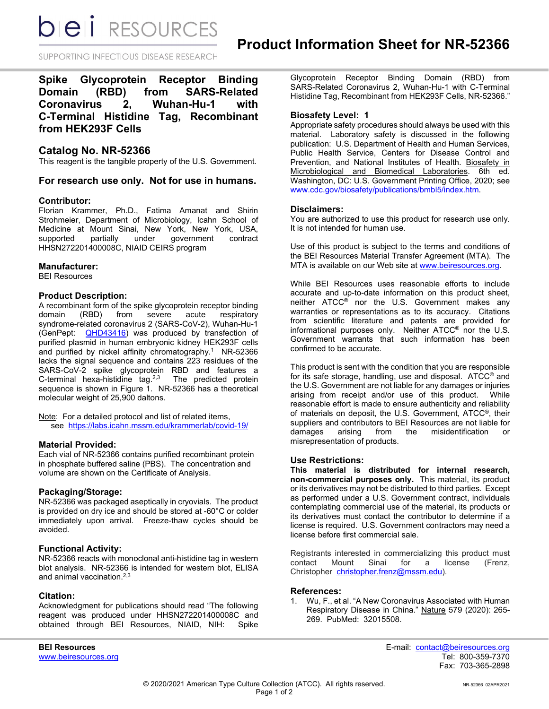**bieli** RESOURCES

SUPPORTING INFECTIOUS DISEASE RESEARCH

**Spike Glycoprotein Receptor Binding Domain (RBD) from SARS-Related Coronavirus 2, Wuhan-Hu-1 with C-Terminal Histidine Tag, Recombinant from HEK293F Cells**

# **Catalog No. NR-52366**

This reagent is the tangible property of the U.S. Government.

# **For research use only. Not for use in humans.**

## **Contributor:**

Florian Krammer, Ph.D., Fatima Amanat and Shirin Strohmeier, Department of Microbiology, Icahn School of Medicine at Mount Sinai, New York, New York, USA, supported partially under government contract HHSN272201400008C, NIAID CEIRS program

#### **Manufacturer:**

BEI Resources

#### **Product Description:**

A recombinant form of the spike glycoprotein receptor binding domain (RBD) from severe acute respiratory syndrome-related coronavirus 2 (SARS-CoV-2), Wuhan-Hu-1 (GenPept: [QHD43416\)](https://www.ncbi.nlm.nih.gov/protein/QHD43416) was produced by transfection of purified plasmid in human embryonic kidney HEK293F cells and purified by nickel affinity chromatography.<sup>1</sup> NR-52366 lacks the signal sequence and contains 223 residues of the SARS-CoV-2 spike glycoprotein RBD and features a C-terminal hexa-histidine tag.2,3 The predicted protein sequence is shown in Figure 1. NR-52366 has a theoretical molecular weight of 25,900 daltons.

Note: For a detailed protocol and list of related items, see [https://labs.icahn.mssm.edu/krammerlab/covid-19/](https://urldefense.proofpoint.com/v2/url?u=https-3A__labs.icahn.mssm.edu_krammerlab_covid-2D19_&d=DwMGaQ&c=dcFnI-8Ri3NVXdqjME8ydA&r=eA3zTJxwXCmlnZgIbqMroY0lnEHoS938ZSXCfWXjknU&m=7thlCJsuJKRfS35CaryT9_VtJiIy3dY5SkMJM_oXZmg&s=wKvseV8pQG7eHq_VY5BAfNELC023EXKmAGwNxyckM8k&e=)

## **Material Provided:**

Each vial of NR-52366 contains purified recombinant protein in phosphate buffered saline (PBS). The concentration and volume are shown on the Certificate of Analysis.

# **Packaging/Storage:**

NR-52366 was packaged aseptically in cryovials. The product is provided on dry ice and should be stored at -60°C or colder immediately upon arrival. Freeze-thaw cycles should be avoided.

#### **Functional Activity:**

NR-52366 reacts with monoclonal anti-histidine tag in western blot analysis. NR-52366 is intended for western blot, ELISA and animal vaccination.2,3

## **Citation:**

Acknowledgment for publications should read "The following reagent was produced under HHSN272201400008C and obtained through BEI Resources, NIAID, NIH:

www.beiresources.org

Glycoprotein Receptor Binding Domain (RBD) from SARS-Related Coronavirus 2, Wuhan-Hu-1 with C-Terminal Histidine Tag, Recombinant from HEK293F Cells, NR-52366."

### **Biosafety Level: 1**

Appropriate safety procedures should always be used with this material. Laboratory safety is discussed in the following publication: U.S. Department of Health and Human Services, Public Health Service, Centers for Disease Control and Prevention, and National Institutes of Health. Biosafety in Microbiological and Biomedical Laboratories. 6th ed. Washington, DC: U.S. Government Printing Office, 2020; see [www.cdc.gov/biosafety/publications/bmbl5/index.htm.](http://www.cdc.gov/biosafety/publications/bmbl5/index.htm)

## **Disclaimers:**

You are authorized to use this product for research use only. It is not intended for human use.

Use of this product is subject to the terms and conditions of the BEI Resources Material Transfer Agreement (MTA). The MTA is available on our Web site at [www.beiresources.org.](http://www.beiresources.org/)

While BEI Resources uses reasonable efforts to include accurate and up-to-date information on this product sheet, neither ATCC® nor the U.S. Government makes any warranties or representations as to its accuracy. Citations from scientific literature and patents are provided for informational purposes only. Neither ATCC® nor the U.S. Government warrants that such information has been confirmed to be accurate.

This product is sent with the condition that you are responsible for its safe storage, handling, use and disposal. ATCC® and the U.S. Government are not liable for any damages or injuries arising from receipt and/or use of this product. While reasonable effort is made to ensure authenticity and reliability of materials on deposit, the U.S. Government, ATCC®, their suppliers and contributors to BEI Resources are not liable for damages arising from the misidentification or misrepresentation of products.

#### **Use Restrictions:**

**This material is distributed for internal research, non-commercial purposes only.** This material, its product or its derivatives may not be distributed to third parties. Except as performed under a U.S. Government contract, individuals contemplating commercial use of the material, its products or its derivatives must contact the contributor to determine if a license is required. U.S. Government contractors may need a license before first commercial sale.

Registrants interested in commercializing this product must<br>contact Mount Sinai for a license (Frenz, contact Mount Sinai for a license (Frenz, Christopher [christopher.frenz@mssm.edu\)](mailto:christopher.frenz@mssm.edu).

## **References:**

1. Wu, F., et al. "A New Coronavirus Associated with Human Respiratory Disease in China." Nature 579 (2020): 265- 269. PubMed: 32015508.